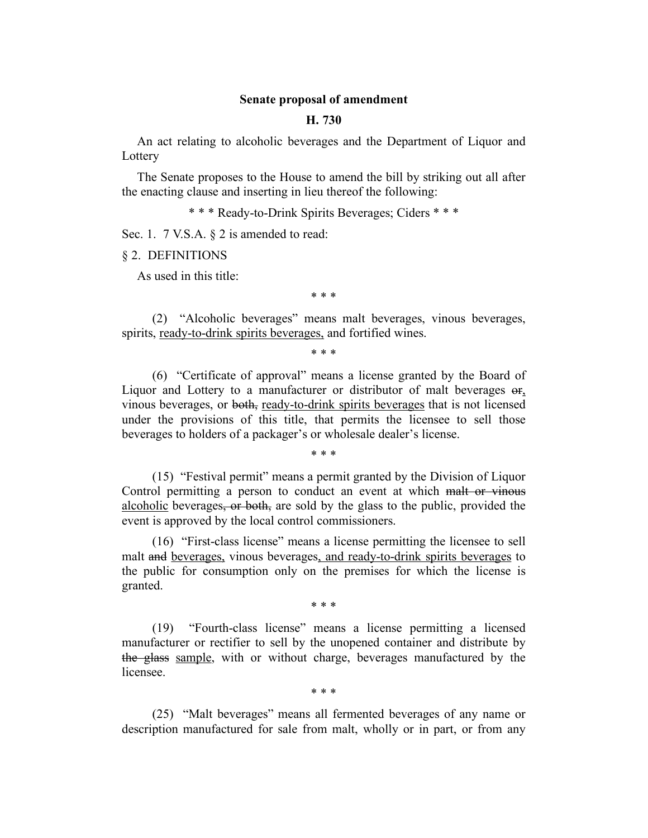## **Senate proposal of amendment**

#### **H. 730**

An act relating to alcoholic beverages and the Department of Liquor and Lottery

The Senate proposes to the House to amend the bill by striking out all after the enacting clause and inserting in lieu thereof the following:

\* \* \* Ready-to-Drink Spirits Beverages; Ciders \* \* \*

Sec. 1. 7 V.S.A. § 2 is amended to read:

§ 2. DEFINITIONS

As used in this title:

\* \* \*

(2) "Alcoholic beverages" means malt beverages, vinous beverages, spirits, ready-to-drink spirits beverages, and fortified wines.

\* \* \*

(6) "Certificate of approval" means a license granted by the Board of Liquor and Lottery to a manufacturer or distributor of malt beverages or, vinous beverages, or both, ready-to-drink spirits beverages that is not licensed under the provisions of this title, that permits the licensee to sell those beverages to holders of a packager's or wholesale dealer's license.

\* \* \*

(15) "Festival permit" means a permit granted by the Division of Liquor Control permitting a person to conduct an event at which malt or vinous alcoholic beverages, or both, are sold by the glass to the public, provided the event is approved by the local control commissioners.

(16) "First-class license" means a license permitting the licensee to sell malt and beverages, vinous beverages, and ready-to-drink spirits beverages to the public for consumption only on the premises for which the license is granted.

\* \* \*

(19) "Fourth-class license" means a license permitting a licensed manufacturer or rectifier to sell by the unopened container and distribute by the glass sample, with or without charge, beverages manufactured by the licensee.

\* \* \*

(25) "Malt beverages" means all fermented beverages of any name or description manufactured for sale from malt, wholly or in part, or from any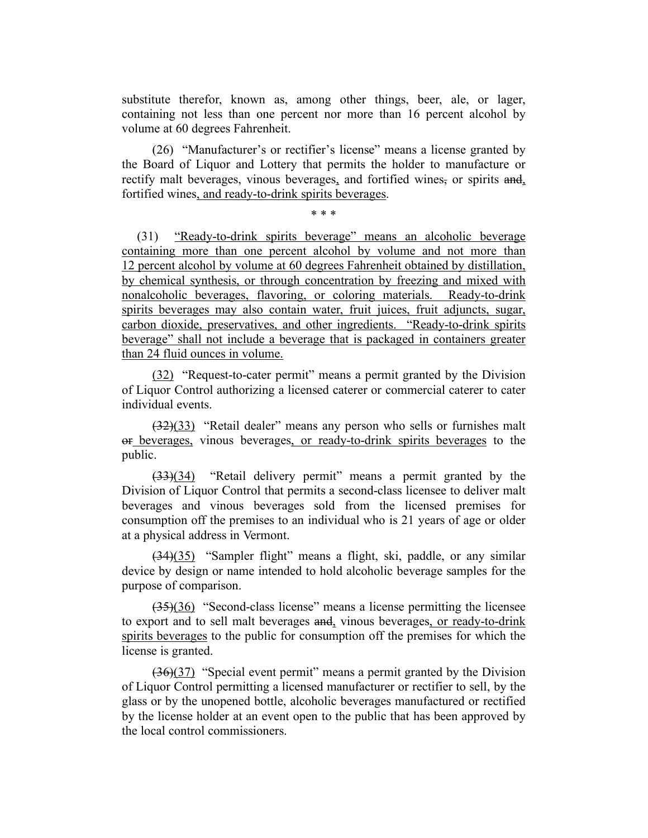substitute therefor, known as, among other things, beer, ale, or lager, containing not less than one percent nor more than 16 percent alcohol by volume at 60 degrees Fahrenheit.

(26) "Manufacturer's or rectifier's license" means a license granted by the Board of Liquor and Lottery that permits the holder to manufacture or rectify malt beverages, vinous beverages, and fortified wines, or spirits and, fortified wines, and ready-to-drink spirits beverages.

\* \* \*

(31) "Ready-to-drink spirits beverage" means an alcoholic beverage containing more than one percent alcohol by volume and not more than 12 percent alcohol by volume at 60 degrees Fahrenheit obtained by distillation, by chemical synthesis, or through concentration by freezing and mixed with nonalcoholic beverages, flavoring, or coloring materials. Ready-to-drink spirits beverages may also contain water, fruit juices, fruit adjuncts, sugar, carbon dioxide, preservatives, and other ingredients. "Ready-to-drink spirits beverage" shall not include a beverage that is packaged in containers greater than 24 fluid ounces in volume.

(32) "Request-to-cater permit" means a permit granted by the Division of Liquor Control authorizing a licensed caterer or commercial caterer to cater individual events.

(32)(33) "Retail dealer" means any person who sells or furnishes malt or beverages, vinous beverages, or ready-to-drink spirits beverages to the public.

(33)(34) "Retail delivery permit" means a permit granted by the Division of Liquor Control that permits a second-class licensee to deliver malt beverages and vinous beverages sold from the licensed premises for consumption off the premises to an individual who is 21 years of age or older at a physical address in Vermont.

(34)(35) "Sampler flight" means a flight, ski, paddle, or any similar device by design or name intended to hold alcoholic beverage samples for the purpose of comparison.

(35)(36) "Second-class license" means a license permitting the licensee to export and to sell malt beverages and, vinous beverages, or ready-to-drink spirits beverages to the public for consumption off the premises for which the license is granted.

(36)(37) "Special event permit" means a permit granted by the Division of Liquor Control permitting a licensed manufacturer or rectifier to sell, by the glass or by the unopened bottle, alcoholic beverages manufactured or rectified by the license holder at an event open to the public that has been approved by the local control commissioners.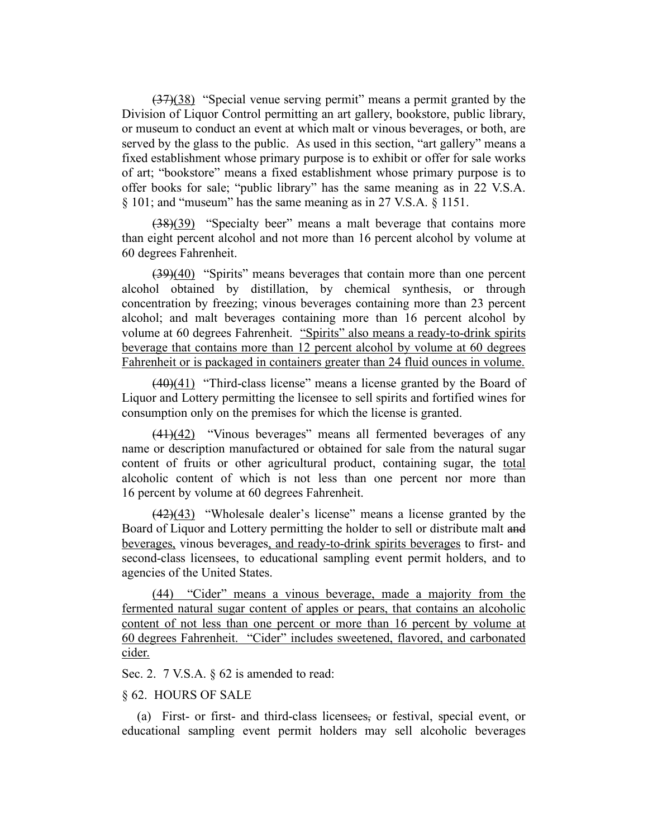(37)(38) "Special venue serving permit" means a permit granted by the Division of Liquor Control permitting an art gallery, bookstore, public library, or museum to conduct an event at which malt or vinous beverages, or both, are served by the glass to the public. As used in this section, "art gallery" means a fixed establishment whose primary purpose is to exhibit or offer for sale works of art; "bookstore" means a fixed establishment whose primary purpose is to offer books for sale; "public library" has the same meaning as in 22 V.S.A. § 101; and "museum" has the same meaning as in 27 V.S.A. § 1151.

(38)(39) "Specialty beer" means a malt beverage that contains more than eight percent alcohol and not more than 16 percent alcohol by volume at 60 degrees Fahrenheit.

(39)(40) "Spirits" means beverages that contain more than one percent alcohol obtained by distillation, by chemical synthesis, or through concentration by freezing; vinous beverages containing more than 23 percent alcohol; and malt beverages containing more than 16 percent alcohol by volume at 60 degrees Fahrenheit. "Spirits" also means a ready-to-drink spirits beverage that contains more than 12 percent alcohol by volume at 60 degrees Fahrenheit or is packaged in containers greater than 24 fluid ounces in volume.

 $(40)(41)$  "Third-class license" means a license granted by the Board of Liquor and Lottery permitting the licensee to sell spirits and fortified wines for consumption only on the premises for which the license is granted.

 $(41)(42)$  "Vinous beverages" means all fermented beverages of any name or description manufactured or obtained for sale from the natural sugar content of fruits or other agricultural product, containing sugar, the total alcoholic content of which is not less than one percent nor more than 16 percent by volume at 60 degrees Fahrenheit.

 $(42)(43)$  "Wholesale dealer's license" means a license granted by the Board of Liquor and Lottery permitting the holder to sell or distribute malt and beverages, vinous beverages, and ready-to-drink spirits beverages to first- and second-class licensees, to educational sampling event permit holders, and to agencies of the United States.

(44) "Cider" means a vinous beverage, made a majority from the fermented natural sugar content of apples or pears, that contains an alcoholic content of not less than one percent or more than 16 percent by volume at 60 degrees Fahrenheit. "Cider" includes sweetened, flavored, and carbonated cider.

Sec. 2. 7 V.S.A. § 62 is amended to read:

## § 62. HOURS OF SALE

(a) First- or first- and third-class licensees, or festival, special event, or educational sampling event permit holders may sell alcoholic beverages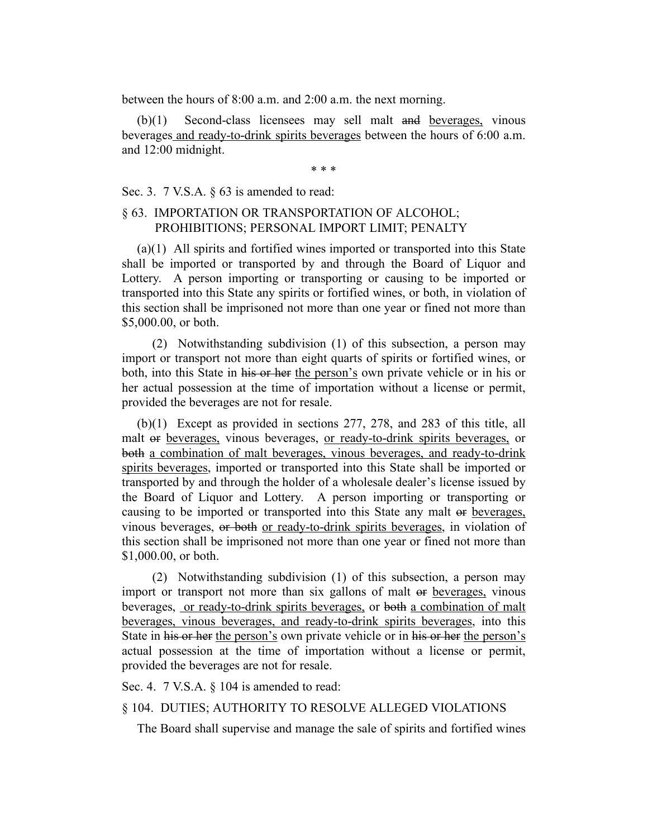between the hours of 8:00 a.m. and 2:00 a.m. the next morning.

(b)(1) Second-class licensees may sell malt and beverages, vinous beverages and ready-to-drink spirits beverages between the hours of 6:00 a.m. and 12:00 midnight.

\* \* \*

Sec. 3. 7 V.S.A. § 63 is amended to read:

# § 63. IMPORTATION OR TRANSPORTATION OF ALCOHOL; PROHIBITIONS; PERSONAL IMPORT LIMIT; PENALTY

(a)(1) All spirits and fortified wines imported or transported into this State shall be imported or transported by and through the Board of Liquor and Lottery. A person importing or transporting or causing to be imported or transported into this State any spirits or fortified wines, or both, in violation of this section shall be imprisoned not more than one year or fined not more than \$5,000.00, or both.

(2) Notwithstanding subdivision (1) of this subsection, a person may import or transport not more than eight quarts of spirits or fortified wines, or both, into this State in his or her the person's own private vehicle or in his or her actual possession at the time of importation without a license or permit, provided the beverages are not for resale.

(b)(1) Except as provided in sections 277, 278, and 283 of this title, all malt or beverages, vinous beverages, or ready-to-drink spirits beverages, or both a combination of malt beverages, vinous beverages, and ready-to-drink spirits beverages, imported or transported into this State shall be imported or transported by and through the holder of a wholesale dealer's license issued by the Board of Liquor and Lottery. A person importing or transporting or causing to be imported or transported into this State any malt or beverages, vinous beverages, or both or ready-to-drink spirits beverages, in violation of this section shall be imprisoned not more than one year or fined not more than \$1,000.00, or both.

(2) Notwithstanding subdivision (1) of this subsection, a person may import or transport not more than six gallons of malt or beverages, vinous beverages, or ready-to-drink spirits beverages, or both a combination of malt beverages, vinous beverages, and ready-to-drink spirits beverages, into this State in his or her the person's own private vehicle or in his or her the person's actual possession at the time of importation without a license or permit, provided the beverages are not for resale.

Sec. 4. 7 V.S.A. § 104 is amended to read:

## § 104. DUTIES; AUTHORITY TO RESOLVE ALLEGED VIOLATIONS

The Board shall supervise and manage the sale of spirits and fortified wines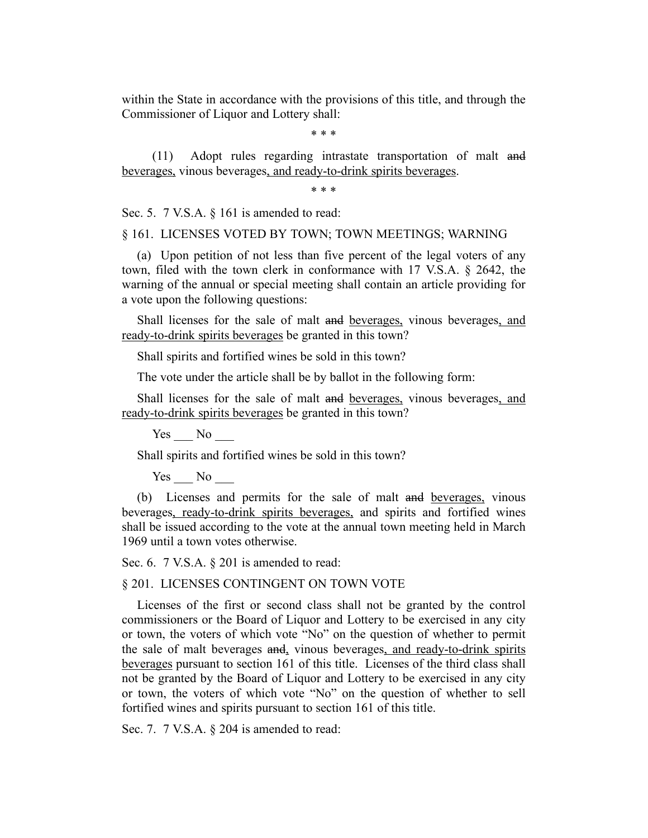within the State in accordance with the provisions of this title, and through the Commissioner of Liquor and Lottery shall:

\* \* \*

(11) Adopt rules regarding intrastate transportation of malt and beverages, vinous beverages, and ready-to-drink spirits beverages.

\* \* \*

Sec. 5. 7 V.S.A. § 161 is amended to read:

§ 161. LICENSES VOTED BY TOWN; TOWN MEETINGS; WARNING

(a) Upon petition of not less than five percent of the legal voters of any town, filed with the town clerk in conformance with 17 V.S.A. § 2642, the warning of the annual or special meeting shall contain an article providing for a vote upon the following questions:

Shall licenses for the sale of malt and beverages, vinous beverages, and ready-to-drink spirits beverages be granted in this town?

Shall spirits and fortified wines be sold in this town?

The vote under the article shall be by ballot in the following form:

Shall licenses for the sale of malt and beverages, vinous beverages, and ready-to-drink spirits beverages be granted in this town?

Yes No

Shall spirits and fortified wines be sold in this town?

Yes No

(b) Licenses and permits for the sale of malt and beverages, vinous beverages, ready-to-drink spirits beverages, and spirits and fortified wines shall be issued according to the vote at the annual town meeting held in March 1969 until a town votes otherwise.

Sec. 6. 7 V.S.A. § 201 is amended to read:

§ 201. LICENSES CONTINGENT ON TOWN VOTE

Licenses of the first or second class shall not be granted by the control commissioners or the Board of Liquor and Lottery to be exercised in any city or town, the voters of which vote "No" on the question of whether to permit the sale of malt beverages and, vinous beverages, and ready-to-drink spirits beverages pursuant to section 161 of this title. Licenses of the third class shall not be granted by the Board of Liquor and Lottery to be exercised in any city or town, the voters of which vote "No" on the question of whether to sell fortified wines and spirits pursuant to section 161 of this title.

Sec. 7. 7 V.S.A. § 204 is amended to read: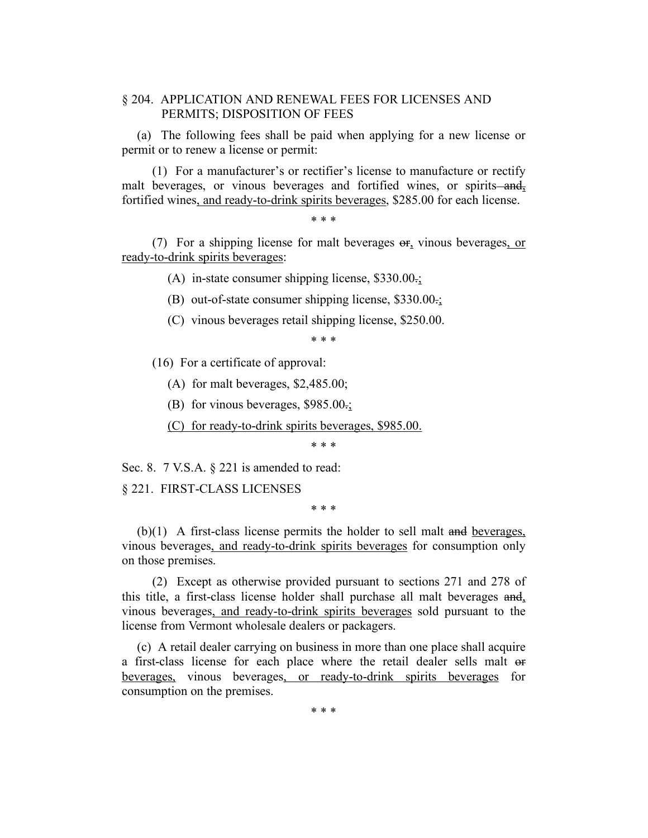# § 204. APPLICATION AND RENEWAL FEES FOR LICENSES AND PERMITS; DISPOSITION OF FEES

(a) The following fees shall be paid when applying for a new license or permit or to renew a license or permit:

(1) For a manufacturer's or rectifier's license to manufacture or rectify malt beverages, or vinous beverages and fortified wines, or spirits—and, fortified wines, and ready-to-drink spirits beverages, \$285.00 for each license.

\* \* \*

(7) For a shipping license for malt beverages  $\Theta$ <sub>r</sub> vinous beverages, or ready-to-drink spirits beverages:

(A) in-state consumer shipping license,  $$330.00\div$ 

(B) out-of-state consumer shipping license, \$330.00.;

(C) vinous beverages retail shipping license, \$250.00.

\* \* \*

- (16) For a certificate of approval:
	- (A) for malt beverages, \$2,485.00;
	- (B) for vinous beverages, \$985.00.;
	- (C) for ready-to-drink spirits beverages, \$985.00.

\* \* \*

Sec. 8. 7 V.S.A. § 221 is amended to read:

§ 221. FIRST-CLASS LICENSES

\* \* \*

(b)(1) A first-class license permits the holder to sell malt and beverages, vinous beverages, and ready-to-drink spirits beverages for consumption only on those premises.

(2) Except as otherwise provided pursuant to sections 271 and 278 of this title, a first-class license holder shall purchase all malt beverages and, vinous beverages, and ready-to-drink spirits beverages sold pursuant to the license from Vermont wholesale dealers or packagers.

(c) A retail dealer carrying on business in more than one place shall acquire a first-class license for each place where the retail dealer sells malt or beverages, vinous beverages, or ready-to-drink spirits beverages for consumption on the premises.

\* \* \*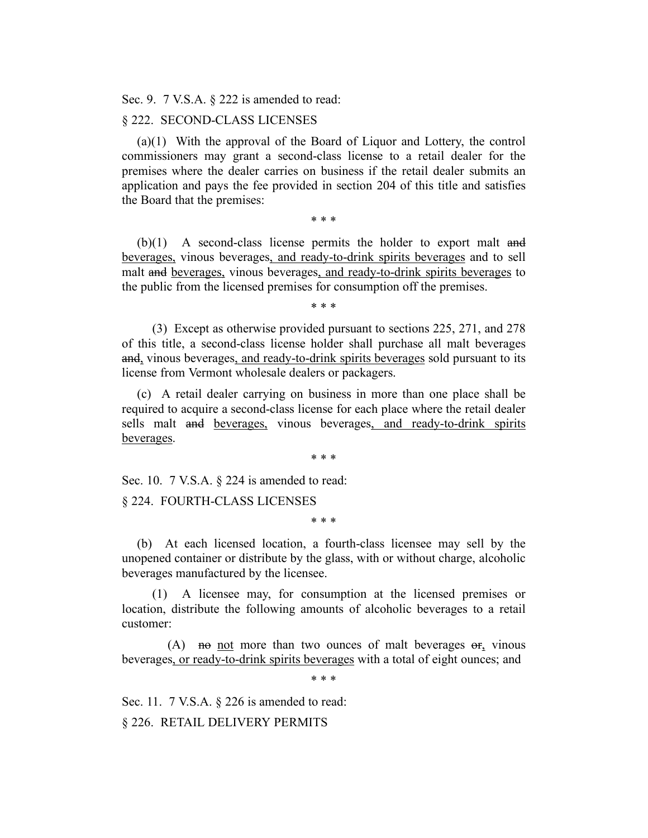Sec. 9. 7 V.S.A. § 222 is amended to read:

#### § 222. SECOND-CLASS LICENSES

(a)(1) With the approval of the Board of Liquor and Lottery, the control commissioners may grant a second-class license to a retail dealer for the premises where the dealer carries on business if the retail dealer submits an application and pays the fee provided in section 204 of this title and satisfies the Board that the premises:

\* \* \*

(b)(1) A second-class license permits the holder to export malt and beverages, vinous beverages, and ready-to-drink spirits beverages and to sell malt and beverages, vinous beverages, and ready-to-drink spirits beverages to the public from the licensed premises for consumption off the premises.

\* \* \*

(3) Except as otherwise provided pursuant to sections 225, 271, and 278 of this title, a second-class license holder shall purchase all malt beverages and, vinous beverages, and ready-to-drink spirits beverages sold pursuant to its license from Vermont wholesale dealers or packagers.

(c) A retail dealer carrying on business in more than one place shall be required to acquire a second-class license for each place where the retail dealer sells malt and beverages, vinous beverages, and ready-to-drink spirits beverages.

\* \* \*

Sec. 10. 7 V.S.A. § 224 is amended to read:

§ 224. FOURTH-CLASS LICENSES

\* \* \*

(b) At each licensed location, a fourth-class licensee may sell by the unopened container or distribute by the glass, with or without charge, alcoholic beverages manufactured by the licensee.

(1) A licensee may, for consumption at the licensed premises or location, distribute the following amounts of alcoholic beverages to a retail customer:

(A) note more than two ounces of malt beverages  $\Theta$ <sub>r</sub> vinous beverages, or ready-to-drink spirits beverages with a total of eight ounces; and

\* \* \*

Sec. 11. 7 V.S.A. § 226 is amended to read:

§ 226. RETAIL DELIVERY PERMITS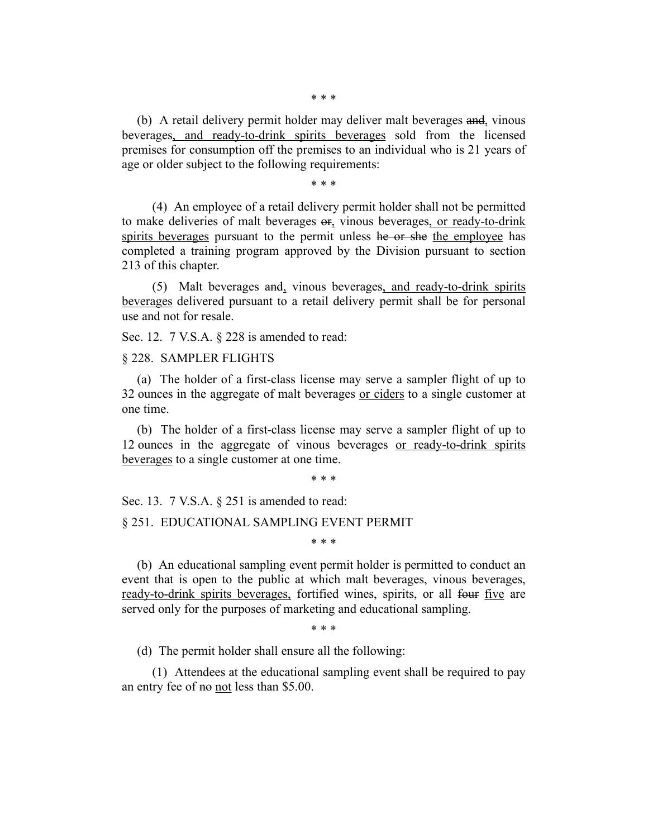\* \* \*

(b) A retail delivery permit holder may deliver malt beverages and, vinous beverages, and ready-to-drink spirits beverages sold from the licensed premises for consumption off the premises to an individual who is 21 years of age or older subject to the following requirements:

\* \* \*

(4) An employee of a retail delivery permit holder shall not be permitted to make deliveries of malt beverages or, vinous beverages, or ready-to-drink spirits beverages pursuant to the permit unless he or she the employee has completed a training program approved by the Division pursuant to section 213 of this chapter.

(5) Malt beverages and, vinous beverages, and ready-to-drink spirits beverages delivered pursuant to a retail delivery permit shall be for personal use and not for resale.

Sec. 12. 7 V.S.A. § 228 is amended to read:

#### § 228. SAMPLER FLIGHTS

(a) The holder of a first-class license may serve a sampler flight of up to 32 ounces in the aggregate of malt beverages <u>or ciders</u> to a single customer at one time.

(b) The holder of a first-class license may serve a sampler flight of up to 12 ounces in the aggregate of vinous beverages or ready-to-drink spirits beverages to a single customer at one time.

\* \* \*

Sec. 13. 7 V.S.A. § 251 is amended to read:

### § 251. EDUCATIONAL SAMPLING EVENT PERMIT

\* \* \*

(b) An educational sampling event permit holder is permitted to conduct an event that is open to the public at which malt beverages, vinous beverages, ready-to-drink spirits beverages, fortified wines, spirits, or all four five are served only for the purposes of marketing and educational sampling.

\* \* \*

(d) The permit holder shall ensure all the following:

(1) Attendees at the educational sampling event shall be required to pay an entry fee of no not less than \$5.00.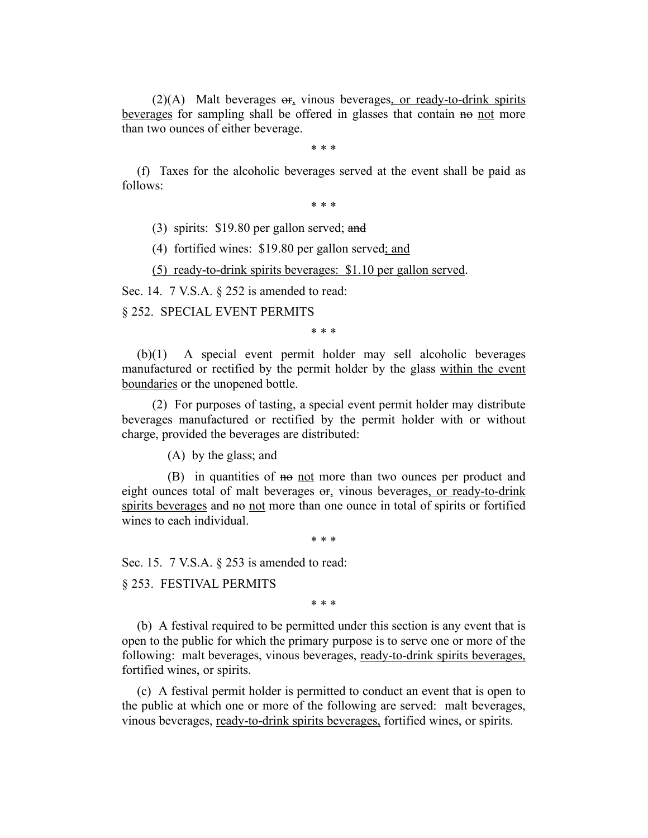$(2)(A)$  Malt beverages  $\Theta$ , vinous beverages, or ready-to-drink spirits beverages for sampling shall be offered in glasses that contain no not more than two ounces of either beverage.

\* \* \*

(f) Taxes for the alcoholic beverages served at the event shall be paid as follows:

\* \* \*

(3) spirits: \$19.80 per gallon served; and

(4) fortified wines: \$19.80 per gallon served; and

(5) ready-to-drink spirits beverages: \$1.10 per gallon served.

Sec. 14. 7 V.S.A. § 252 is amended to read:

§ 252. SPECIAL EVENT PERMITS

\* \* \*

(b)(1) A special event permit holder may sell alcoholic beverages manufactured or rectified by the permit holder by the glass within the event boundaries or the unopened bottle.

(2) For purposes of tasting, a special event permit holder may distribute beverages manufactured or rectified by the permit holder with or without charge, provided the beverages are distributed:

(A) by the glass; and

(B) in quantities of not more than two ounces per product and eight ounces total of malt beverages or, vinous beverages, or ready-to-drink spirits beverages and no not more than one ounce in total of spirits or fortified wines to each individual.

\* \* \*

Sec. 15. 7 V.S.A. § 253 is amended to read:

§ 253. FESTIVAL PERMITS

\* \* \*

(b) A festival required to be permitted under this section is any event that is open to the public for which the primary purpose is to serve one or more of the following: malt beverages, vinous beverages, ready-to-drink spirits beverages, fortified wines, or spirits.

(c) A festival permit holder is permitted to conduct an event that is open to the public at which one or more of the following are served: malt beverages, vinous beverages, ready-to-drink spirits beverages, fortified wines, or spirits.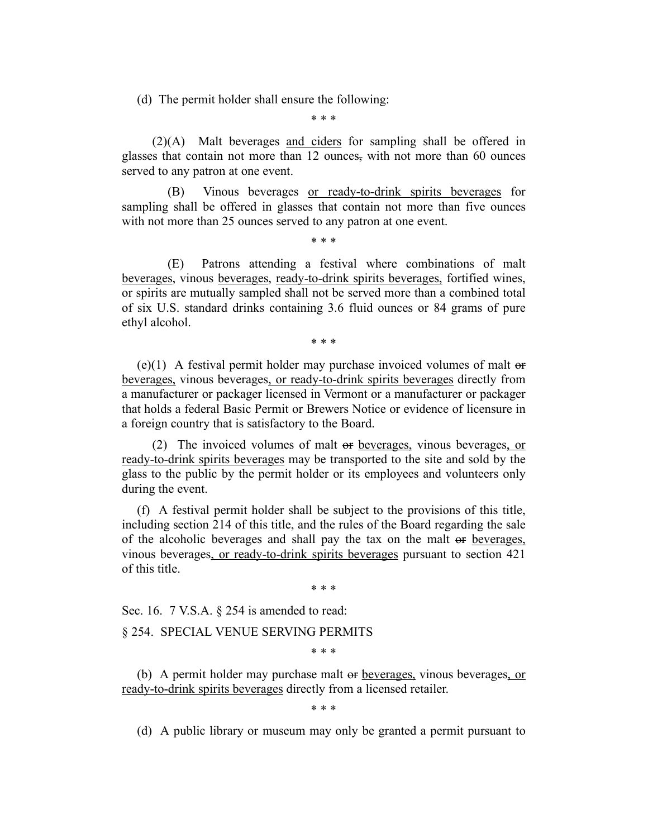(d) The permit holder shall ensure the following:

\* \* \*

(2)(A) Malt beverages and ciders for sampling shall be offered in glasses that contain not more than 12 ounces, with not more than 60 ounces served to any patron at one event.

(B) Vinous beverages or ready-to-drink spirits beverages for sampling shall be offered in glasses that contain not more than five ounces with not more than 25 ounces served to any patron at one event.

\* \* \*

(E) Patrons attending a festival where combinations of malt beverages, vinous beverages, ready-to-drink spirits beverages, fortified wines, or spirits are mutually sampled shall not be served more than a combined total of six U.S. standard drinks containing 3.6 fluid ounces or 84 grams of pure ethyl alcohol.

\* \* \*

 $(e)(1)$  A festival permit holder may purchase invoiced volumes of malt  $\Theta$ beverages, vinous beverages, or ready-to-drink spirits beverages directly from a manufacturer or packager licensed in Vermont or a manufacturer or packager that holds a federal Basic Permit or Brewers Notice or evidence of licensure in a foreign country that is satisfactory to the Board.

(2) The invoiced volumes of malt or beverages, vinous beverages, or ready-to-drink spirits beverages may be transported to the site and sold by the glass to the public by the permit holder or its employees and volunteers only during the event.

(f) A festival permit holder shall be subject to the provisions of this title, including section 214 of this title, and the rules of the Board regarding the sale of the alcoholic beverages and shall pay the tax on the malt or beverages, vinous beverages, or ready-to-drink spirits beverages pursuant to section 421 of this title.

\* \* \*

Sec. 16. 7 V.S.A. § 254 is amended to read:

§ 254. SPECIAL VENUE SERVING PERMITS

\* \* \*

(b) A permit holder may purchase malt or beverages, vinous beverages, or ready-to-drink spirits beverages directly from a licensed retailer.

\* \* \*

(d) A public library or museum may only be granted a permit pursuant to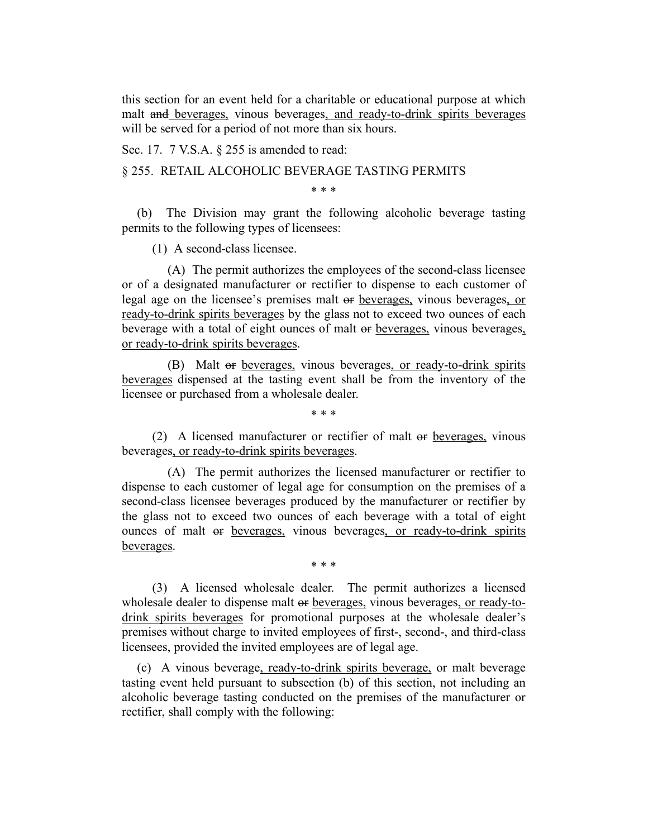this section for an event held for a charitable or educational purpose at which malt and beverages, vinous beverages, and ready-to-drink spirits beverages will be served for a period of not more than six hours.

Sec. 17. 7 V.S.A. § 255 is amended to read:

# § 255. RETAIL ALCOHOLIC BEVERAGE TASTING PERMITS

\* \* \*

(b) The Division may grant the following alcoholic beverage tasting permits to the following types of licensees:

(1) A second-class licensee.

(A) The permit authorizes the employees of the second-class licensee or of a designated manufacturer or rectifier to dispense to each customer of legal age on the licensee's premises malt or beverages, vinous beverages, or ready-to-drink spirits beverages by the glass not to exceed two ounces of each beverage with a total of eight ounces of malt or beverages, vinous beverages, or ready-to-drink spirits beverages.

(B) Malt or beverages, vinous beverages, or ready-to-drink spirits beverages dispensed at the tasting event shall be from the inventory of the licensee or purchased from a wholesale dealer.

\* \* \*

(2) A licensed manufacturer or rectifier of malt or beverages, vinous beverages, or ready-to-drink spirits beverages.

(A) The permit authorizes the licensed manufacturer or rectifier to dispense to each customer of legal age for consumption on the premises of a second-class licensee beverages produced by the manufacturer or rectifier by the glass not to exceed two ounces of each beverage with a total of eight ounces of malt or beverages, vinous beverages, or ready-to-drink spirits beverages.

\* \* \*

(3) A licensed wholesale dealer. The permit authorizes a licensed wholesale dealer to dispense malt or beverages, vinous beverages, or ready-todrink spirits beverages for promotional purposes at the wholesale dealer's premises without charge to invited employees of first-, second-, and third-class licensees, provided the invited employees are of legal age.

(c) A vinous beverage, ready-to-drink spirits beverage, or malt beverage tasting event held pursuant to subsection (b) of this section, not including an alcoholic beverage tasting conducted on the premises of the manufacturer or rectifier, shall comply with the following: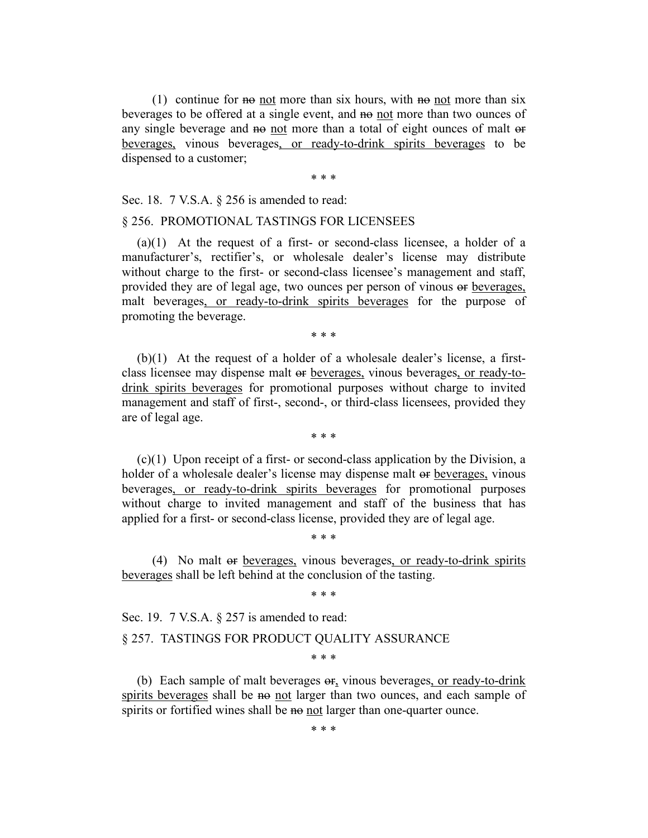(1) continue for not more than six hours, with no not more than six beverages to be offered at a single event, and no not more than two ounces of any single beverage and no not more than a total of eight ounces of malt or beverages, vinous beverages, or ready-to-drink spirits beverages to be dispensed to a customer;

\* \* \*

Sec. 18. 7 V.S.A. § 256 is amended to read:

## § 256. PROMOTIONAL TASTINGS FOR LICENSEES

 $(a)(1)$  At the request of a first- or second-class licensee, a holder of a manufacturer's, rectifier's, or wholesale dealer's license may distribute without charge to the first- or second-class licensee's management and staff, provided they are of legal age, two ounces per person of vinous or beverages, malt beverages, or ready-to-drink spirits beverages for the purpose of promoting the beverage.

\* \* \*

(b)(1) At the request of a holder of a wholesale dealer's license, a firstclass licensee may dispense malt or beverages, vinous beverages, or ready-todrink spirits beverages for promotional purposes without charge to invited management and staff of first-, second-, or third-class licensees, provided they are of legal age.

\* \* \*

(c)(1) Upon receipt of a first- or second-class application by the Division, a holder of a wholesale dealer's license may dispense malt or beverages, vinous beverages, or ready-to-drink spirits beverages for promotional purposes without charge to invited management and staff of the business that has applied for a first- or second-class license, provided they are of legal age.

(4) No malt or beverages, vinous beverages, or ready-to-drink spirits beverages shall be left behind at the conclusion of the tasting.

\* \* \*

\* \* \*

Sec. 19. 7 V.S.A. § 257 is amended to read:

#### § 257. TASTINGS FOR PRODUCT QUALITY ASSURANCE

\* \* \*

(b) Each sample of malt beverages  $\sigma$ <sub>r</sub> vinous beverages, or ready-to-drink spirits beverages shall be no not larger than two ounces, and each sample of spirits or fortified wines shall be no not larger than one-quarter ounce.

\* \* \*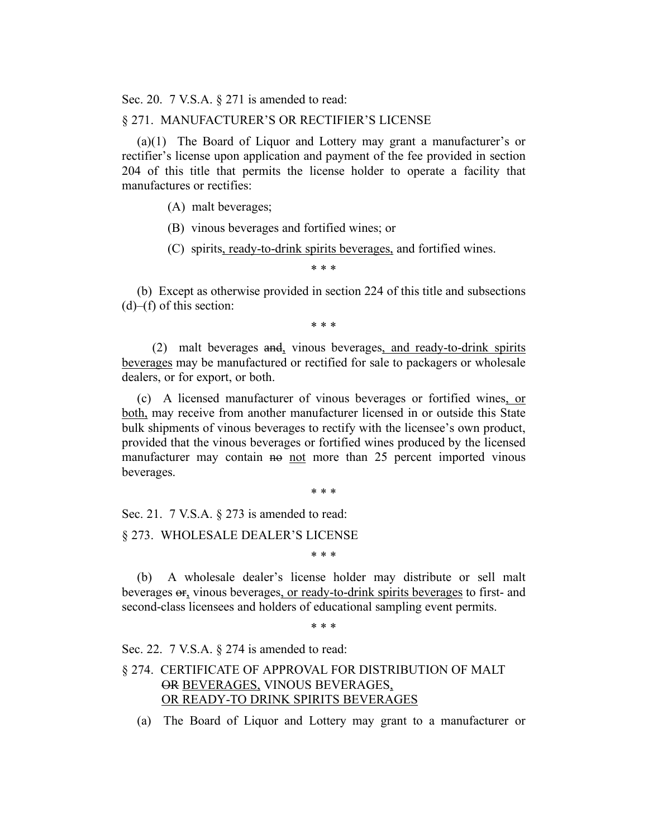Sec. 20. 7 V.S.A. § 271 is amended to read:

#### § 271. MANUFACTURER'S OR RECTIFIER'S LICENSE

(a)(1) The Board of Liquor and Lottery may grant a manufacturer's or rectifier's license upon application and payment of the fee provided in section 204 of this title that permits the license holder to operate a facility that manufactures or rectifies:

(A) malt beverages;

(B) vinous beverages and fortified wines; or

(C) spirits, ready-to-drink spirits beverages, and fortified wines.

\* \* \*

(b) Except as otherwise provided in section 224 of this title and subsections  $(d)$ – $(f)$  of this section:

\* \* \*

(2) malt beverages and, vinous beverages, and ready-to-drink spirits beverages may be manufactured or rectified for sale to packagers or wholesale dealers, or for export, or both.

(c) A licensed manufacturer of vinous beverages or fortified wines, or both, may receive from another manufacturer licensed in or outside this State bulk shipments of vinous beverages to rectify with the licensee's own product, provided that the vinous beverages or fortified wines produced by the licensed manufacturer may contain no not more than 25 percent imported vinous beverages.

\* \* \*

Sec. 21. 7 V.S.A. § 273 is amended to read:

§ 273. WHOLESALE DEALER'S LICENSE

\* \* \*

(b) A wholesale dealer's license holder may distribute or sell malt beverages or, vinous beverages, or ready-to-drink spirits beverages to first- and second-class licensees and holders of educational sampling event permits.

\* \* \*

Sec. 22. 7 V.S.A. § 274 is amended to read:

# § 274. CERTIFICATE OF APPROVAL FOR DISTRIBUTION OF MALT OR BEVERAGES, VINOUS BEVERAGES, OR READY-TO DRINK SPIRITS BEVERAGES

(a) The Board of Liquor and Lottery may grant to a manufacturer or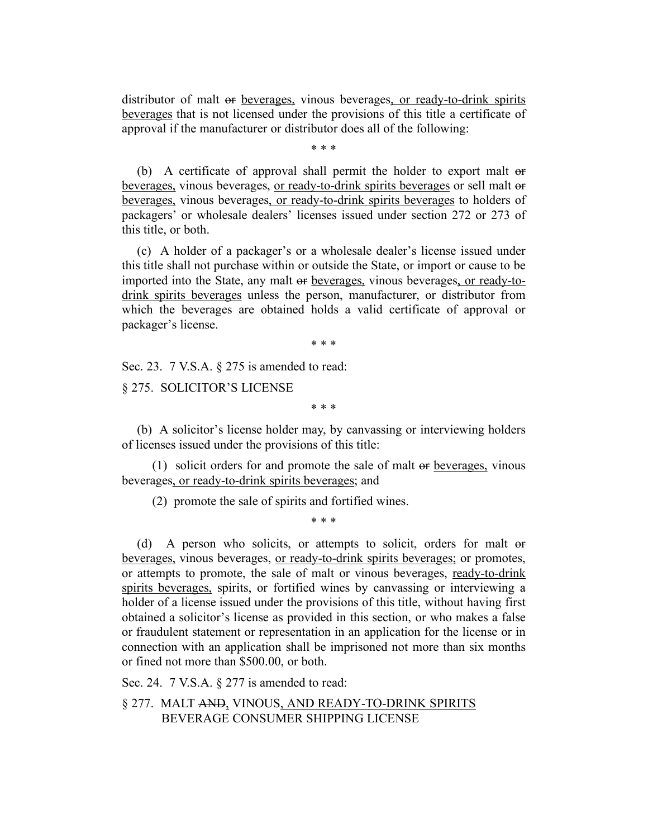distributor of malt or beverages, vinous beverages, or ready-to-drink spirits beverages that is not licensed under the provisions of this title a certificate of approval if the manufacturer or distributor does all of the following:

\* \* \*

(b) A certificate of approval shall permit the holder to export malt or beverages, vinous beverages, or ready-to-drink spirits beverages or sell malt or beverages, vinous beverages, or ready-to-drink spirits beverages to holders of packagers' or wholesale dealers' licenses issued under section 272 or 273 of this title, or both.

(c) A holder of a packager's or a wholesale dealer's license issued under this title shall not purchase within or outside the State, or import or cause to be imported into the State, any malt or beverages, vinous beverages, or ready-todrink spirits beverages unless the person, manufacturer, or distributor from which the beverages are obtained holds a valid certificate of approval or packager's license.

\* \* \*

Sec. 23. 7 V.S.A. § 275 is amended to read:

§ 275. SOLICITOR'S LICENSE

\* \* \*

(b) A solicitor's license holder may, by canvassing or interviewing holders of licenses issued under the provisions of this title:

(1) solicit orders for and promote the sale of malt or beverages, vinous beverages, or ready-to-drink spirits beverages; and

(2) promote the sale of spirits and fortified wines.

\* \* \*

(d) A person who solicits, or attempts to solicit, orders for malt or beverages, vinous beverages, or ready-to-drink spirits beverages; or promotes, or attempts to promote, the sale of malt or vinous beverages, ready-to-drink spirits beverages, spirits, or fortified wines by canvassing or interviewing a holder of a license issued under the provisions of this title, without having first obtained a solicitor's license as provided in this section, or who makes a false or fraudulent statement or representation in an application for the license or in connection with an application shall be imprisoned not more than six months or fined not more than \$500.00, or both.

Sec. 24. 7 V.S.A. § 277 is amended to read:

§ 277. MALT AND, VINOUS, AND READY-TO-DRINK SPIRITS BEVERAGE CONSUMER SHIPPING LICENSE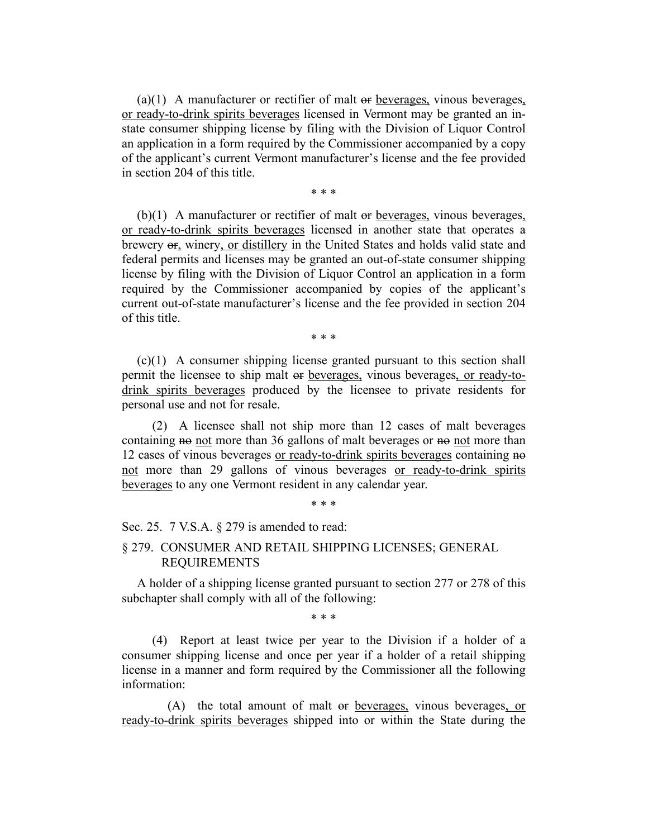(a)(1) A manufacturer or rectifier of malt or beverages, vinous beverages, or ready-to-drink spirits beverages licensed in Vermont may be granted an instate consumer shipping license by filing with the Division of Liquor Control an application in a form required by the Commissioner accompanied by a copy of the applicant's current Vermont manufacturer's license and the fee provided in section 204 of this title.

\* \* \*

(b)(1) A manufacturer or rectifier of malt or beverages, vinous beverages, or ready-to-drink spirits beverages licensed in another state that operates a brewery or, winery, or distillery in the United States and holds valid state and federal permits and licenses may be granted an out-of-state consumer shipping license by filing with the Division of Liquor Control an application in a form required by the Commissioner accompanied by copies of the applicant's current out-of-state manufacturer's license and the fee provided in section 204 of this title.

\* \* \*

(c)(1) A consumer shipping license granted pursuant to this section shall permit the licensee to ship malt or beverages, vinous beverages, or ready-todrink spirits beverages produced by the licensee to private residents for personal use and not for resale.

(2) A licensee shall not ship more than 12 cases of malt beverages containing no not more than 36 gallons of malt beverages or no not more than 12 cases of vinous beverages or ready-to-drink spirits beverages containing no not more than 29 gallons of vinous beverages or ready-to-drink spirits beverages to any one Vermont resident in any calendar year.

\* \* \*

Sec. 25. 7 V.S.A. § 279 is amended to read:

# § 279. CONSUMER AND RETAIL SHIPPING LICENSES; GENERAL REQUIREMENTS

A holder of a shipping license granted pursuant to section 277 or 278 of this subchapter shall comply with all of the following:

\* \* \*

(4) Report at least twice per year to the Division if a holder of a consumer shipping license and once per year if a holder of a retail shipping license in a manner and form required by the Commissioner all the following information:

(A) the total amount of malt or beverages, vinous beverages, or ready-to-drink spirits beverages shipped into or within the State during the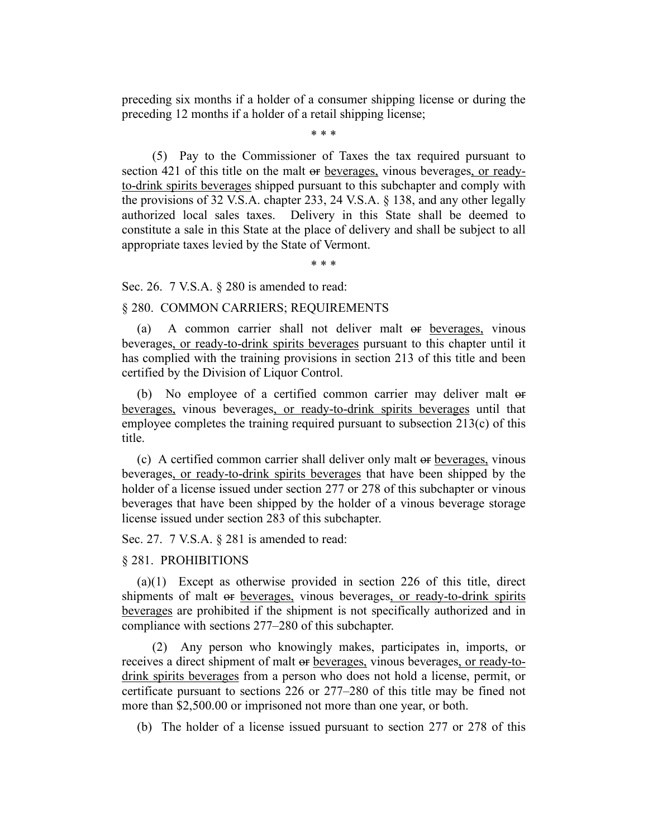preceding six months if a holder of a consumer shipping license or during the preceding 12 months if a holder of a retail shipping license;

\* \* \*

(5) Pay to the Commissioner of Taxes the tax required pursuant to section 421 of this title on the malt or beverages, vinous beverages, or readyto-drink spirits beverages shipped pursuant to this subchapter and comply with the provisions of 32 V.S.A. chapter 233, 24 V.S.A. § 138, and any other legally authorized local sales taxes. Delivery in this State shall be deemed to constitute a sale in this State at the place of delivery and shall be subject to all appropriate taxes levied by the State of Vermont.

\* \* \*

Sec. 26. 7 V.S.A. § 280 is amended to read:

### § 280. COMMON CARRIERS; REQUIREMENTS

(a) A common carrier shall not deliver malt or beverages, vinous beverages, or ready-to-drink spirits beverages pursuant to this chapter until it has complied with the training provisions in section 213 of this title and been certified by the Division of Liquor Control.

(b) No employee of a certified common carrier may deliver malt or beverages, vinous beverages, or ready-to-drink spirits beverages until that employee completes the training required pursuant to subsection 213(c) of this title.

(c) A certified common carrier shall deliver only malt or beverages, vinous beverages, or ready-to-drink spirits beverages that have been shipped by the holder of a license issued under section 277 or 278 of this subchapter or vinous beverages that have been shipped by the holder of a vinous beverage storage license issued under section 283 of this subchapter.

Sec. 27. 7 V.S.A. § 281 is amended to read:

## § 281. PROHIBITIONS

(a)(1) Except as otherwise provided in section 226 of this title, direct shipments of malt or beverages, vinous beverages, or ready-to-drink spirits beverages are prohibited if the shipment is not specifically authorized and in compliance with sections 277–280 of this subchapter.

(2) Any person who knowingly makes, participates in, imports, or receives a direct shipment of malt or beverages, vinous beverages, or ready-todrink spirits beverages from a person who does not hold a license, permit, or certificate pursuant to sections 226 or 277–280 of this title may be fined not more than \$2,500.00 or imprisoned not more than one year, or both.

(b) The holder of a license issued pursuant to section 277 or 278 of this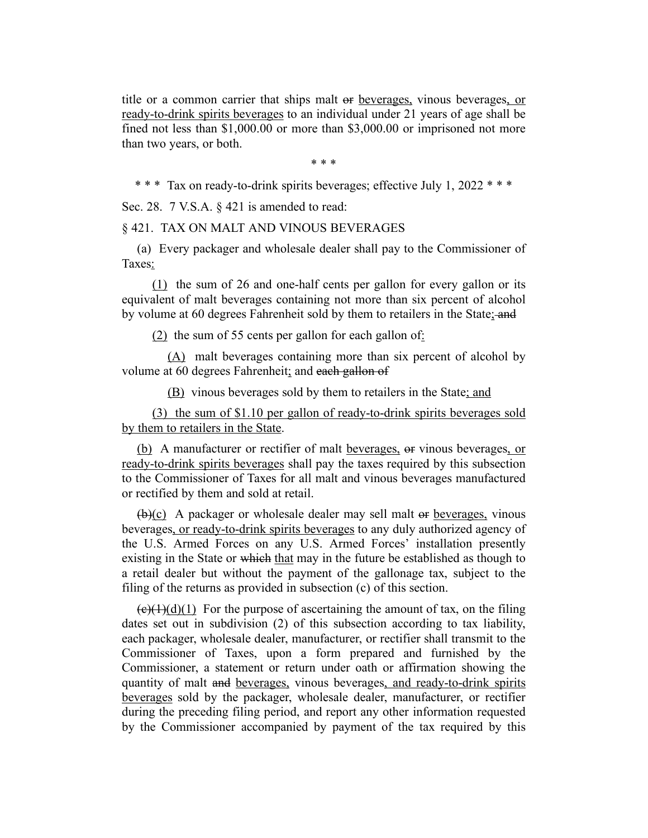title or a common carrier that ships malt or beverages, vinous beverages, or ready-to-drink spirits beverages to an individual under 21 years of age shall be fined not less than \$1,000.00 or more than \$3,000.00 or imprisoned not more than two years, or both.

\* \* \*

\* \* \* Tax on ready-to-drink spirits beverages; effective July 1, 2022 \* \* \*

Sec. 28. 7 V.S.A. § 421 is amended to read:

§ 421. TAX ON MALT AND VINOUS BEVERAGES

(a) Every packager and wholesale dealer shall pay to the Commissioner of Taxes:

(1) the sum of 26 and one-half cents per gallon for every gallon or its equivalent of malt beverages containing not more than six percent of alcohol by volume at 60 degrees Fahrenheit sold by them to retailers in the State; and

 $(2)$  the sum of 55 cents per gallon for each gallon of:

(A) malt beverages containing more than six percent of alcohol by volume at 60 degrees Fahrenheit; and each gallon of

(B) vinous beverages sold by them to retailers in the State; and

(3) the sum of \$1.10 per gallon of ready-to-drink spirits beverages sold by them to retailers in the State.

(b) A manufacturer or rectifier of malt beverages, or vinous beverages, or ready-to-drink spirits beverages shall pay the taxes required by this subsection to the Commissioner of Taxes for all malt and vinous beverages manufactured or rectified by them and sold at retail.

 $(b)(c)$  A packager or wholesale dealer may sell malt or beverages, vinous beverages, or ready-to-drink spirits beverages to any duly authorized agency of the U.S. Armed Forces on any U.S. Armed Forces' installation presently existing in the State or which that may in the future be established as though to a retail dealer but without the payment of the gallonage tax, subject to the filing of the returns as provided in subsection (c) of this section.

 $(e)(1)(d)(1)$  For the purpose of ascertaining the amount of tax, on the filing dates set out in subdivision (2) of this subsection according to tax liability, each packager, wholesale dealer, manufacturer, or rectifier shall transmit to the Commissioner of Taxes, upon a form prepared and furnished by the Commissioner, a statement or return under oath or affirmation showing the quantity of malt and beverages, vinous beverages, and ready-to-drink spirits beverages sold by the packager, wholesale dealer, manufacturer, or rectifier during the preceding filing period, and report any other information requested by the Commissioner accompanied by payment of the tax required by this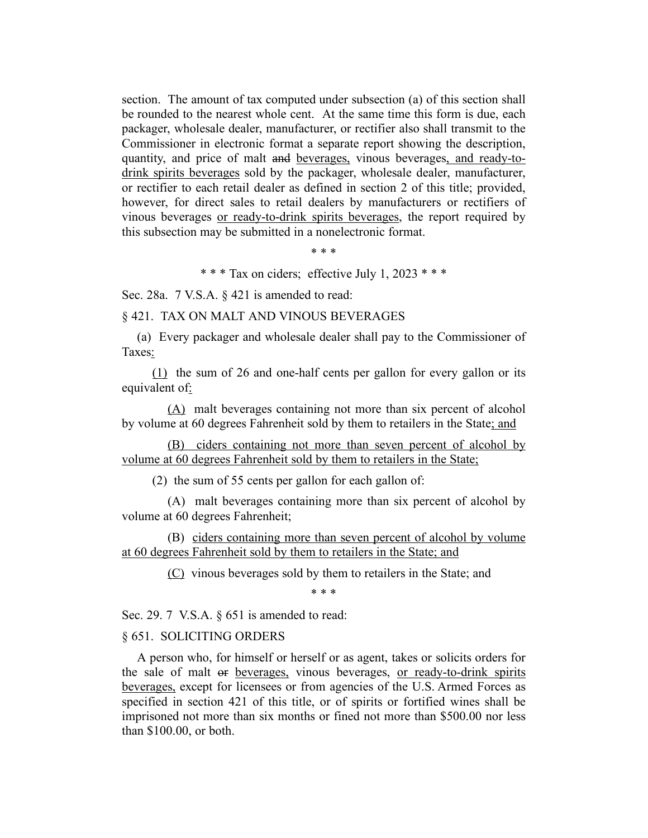section. The amount of tax computed under subsection (a) of this section shall be rounded to the nearest whole cent. At the same time this form is due, each packager, wholesale dealer, manufacturer, or rectifier also shall transmit to the Commissioner in electronic format a separate report showing the description, quantity, and price of malt and beverages, vinous beverages, and ready-todrink spirits beverages sold by the packager, wholesale dealer, manufacturer, or rectifier to each retail dealer as defined in section 2 of this title; provided, however, for direct sales to retail dealers by manufacturers or rectifiers of vinous beverages or ready-to-drink spirits beverages, the report required by this subsection may be submitted in a nonelectronic format.

\* \* \*

\* \* \* Tax on ciders; effective July 1, 2023 \* \* \*

Sec. 28a. 7 V.S.A. § 421 is amended to read:

§ 421. TAX ON MALT AND VINOUS BEVERAGES

(a) Every packager and wholesale dealer shall pay to the Commissioner of Taxes:

(1) the sum of 26 and one-half cents per gallon for every gallon or its equivalent of:

(A) malt beverages containing not more than six percent of alcohol by volume at 60 degrees Fahrenheit sold by them to retailers in the State; and

(B) ciders containing not more than seven percent of alcohol by volume at 60 degrees Fahrenheit sold by them to retailers in the State;

(2) the sum of 55 cents per gallon for each gallon of:

(A) malt beverages containing more than six percent of alcohol by volume at 60 degrees Fahrenheit;

(B) ciders containing more than seven percent of alcohol by volume at 60 degrees Fahrenheit sold by them to retailers in the State; and

(C) vinous beverages sold by them to retailers in the State; and

\* \* \*

Sec. 29. 7 V.S.A. § 651 is amended to read:

#### § 651. SOLICITING ORDERS

A person who, for himself or herself or as agent, takes or solicits orders for the sale of malt or beverages, vinous beverages, or ready-to-drink spirits beverages, except for licensees or from agencies of the U.S. Armed Forces as specified in section 421 of this title, or of spirits or fortified wines shall be imprisoned not more than six months or fined not more than \$500.00 nor less than \$100.00, or both.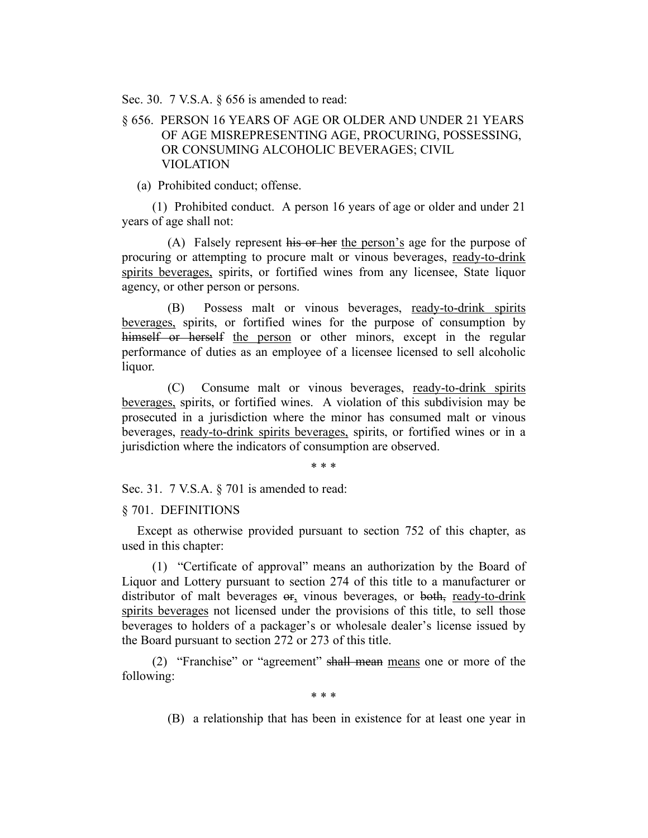Sec. 30. 7 V.S.A. § 656 is amended to read:

# § 656. PERSON 16 YEARS OF AGE OR OLDER AND UNDER 21 YEARS OF AGE MISREPRESENTING AGE, PROCURING, POSSESSING, OR CONSUMING ALCOHOLIC BEVERAGES; CIVIL VIOLATION

(a) Prohibited conduct; offense.

(1) Prohibited conduct. A person 16 years of age or older and under 21 years of age shall not:

(A) Falsely represent his or her the person's age for the purpose of procuring or attempting to procure malt or vinous beverages, ready-to-drink spirits beverages, spirits, or fortified wines from any licensee, State liquor agency, or other person or persons.

(B) Possess malt or vinous beverages, ready-to-drink spirits beverages, spirits, or fortified wines for the purpose of consumption by himself or herself the person or other minors, except in the regular performance of duties as an employee of a licensee licensed to sell alcoholic liquor.

(C) Consume malt or vinous beverages, ready-to-drink spirits beverages, spirits, or fortified wines. A violation of this subdivision may be prosecuted in a jurisdiction where the minor has consumed malt or vinous beverages, ready-to-drink spirits beverages, spirits, or fortified wines or in a jurisdiction where the indicators of consumption are observed.

\* \* \*

Sec. 31. 7 V.S.A. § 701 is amended to read:

## § 701. DEFINITIONS

Except as otherwise provided pursuant to section 752 of this chapter, as used in this chapter:

(1) "Certificate of approval" means an authorization by the Board of Liquor and Lottery pursuant to section 274 of this title to a manufacturer or distributor of malt beverages or, vinous beverages, or both, ready-to-drink spirits beverages not licensed under the provisions of this title, to sell those beverages to holders of a packager's or wholesale dealer's license issued by the Board pursuant to section 272 or 273 of this title.

(2) "Franchise" or "agreement" shall mean means one or more of the following:

\* \* \*

(B) a relationship that has been in existence for at least one year in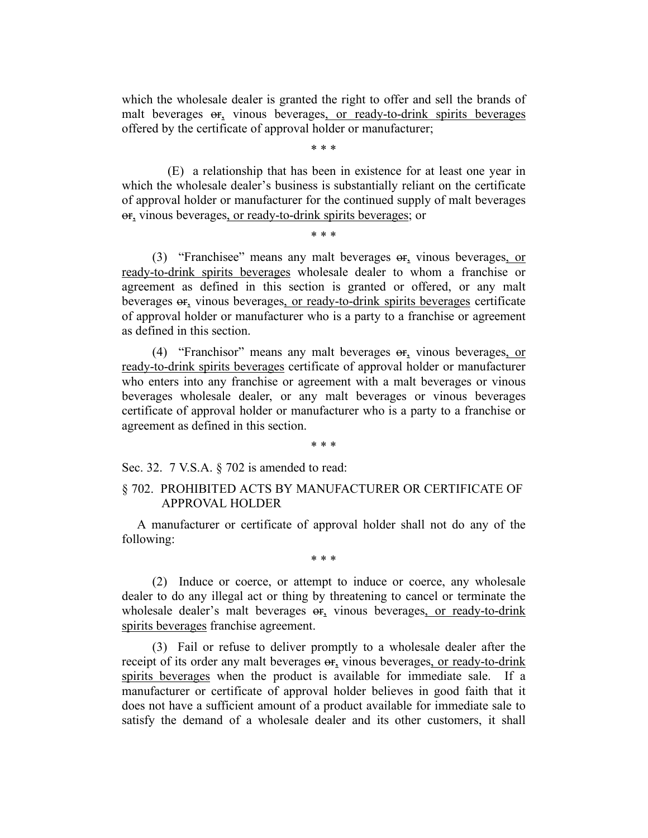which the wholesale dealer is granted the right to offer and sell the brands of malt beverages or, vinous beverages, or ready-to-drink spirits beverages offered by the certificate of approval holder or manufacturer;

\* \* \*

(E) a relationship that has been in existence for at least one year in which the wholesale dealer's business is substantially reliant on the certificate of approval holder or manufacturer for the continued supply of malt beverages or, vinous beverages, or ready-to-drink spirits beverages; or

\* \* \*

(3) "Franchisee" means any malt beverages or, vinous beverages, or ready-to-drink spirits beverages wholesale dealer to whom a franchise or agreement as defined in this section is granted or offered, or any malt beverages or, vinous beverages, or ready-to-drink spirits beverages certificate of approval holder or manufacturer who is a party to a franchise or agreement as defined in this section.

(4) "Franchisor" means any malt beverages or, vinous beverages, or ready-to-drink spirits beverages certificate of approval holder or manufacturer who enters into any franchise or agreement with a malt beverages or vinous beverages wholesale dealer, or any malt beverages or vinous beverages certificate of approval holder or manufacturer who is a party to a franchise or agreement as defined in this section.

#### \* \* \*

Sec. 32. 7 V.S.A. § 702 is amended to read:

# § 702. PROHIBITED ACTS BY MANUFACTURER OR CERTIFICATE OF APPROVAL HOLDER

A manufacturer or certificate of approval holder shall not do any of the following:

\* \* \*

(2) Induce or coerce, or attempt to induce or coerce, any wholesale dealer to do any illegal act or thing by threatening to cancel or terminate the wholesale dealer's malt beverages  $er_1$  vinous beverages, or ready-to-drink spirits beverages franchise agreement.

(3) Fail or refuse to deliver promptly to a wholesale dealer after the receipt of its order any malt beverages or, vinous beverages, or ready-to-drink spirits beverages when the product is available for immediate sale. If a manufacturer or certificate of approval holder believes in good faith that it does not have a sufficient amount of a product available for immediate sale to satisfy the demand of a wholesale dealer and its other customers, it shall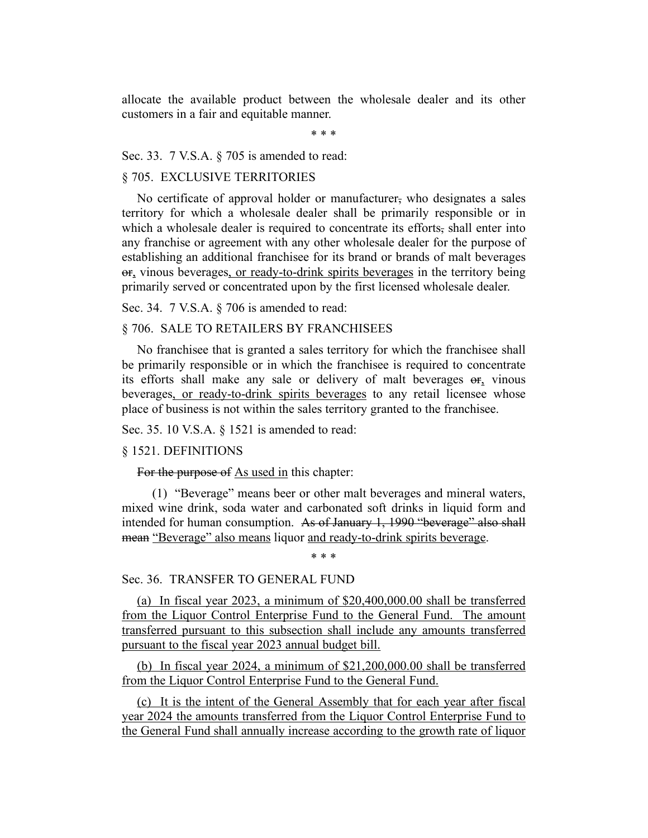allocate the available product between the wholesale dealer and its other customers in a fair and equitable manner.

\* \* \*

Sec. 33. 7 V.S.A. § 705 is amended to read:

# § 705. EXCLUSIVE TERRITORIES

No certificate of approval holder or manufacturer, who designates a sales territory for which a wholesale dealer shall be primarily responsible or in which a wholesale dealer is required to concentrate its efforts, shall enter into any franchise or agreement with any other wholesale dealer for the purpose of establishing an additional franchisee for its brand or brands of malt beverages or, vinous beverages, or ready-to-drink spirits beverages in the territory being primarily served or concentrated upon by the first licensed wholesale dealer.

Sec. 34. 7 V.S.A. § 706 is amended to read:

## § 706. SALE TO RETAILERS BY FRANCHISEES

No franchisee that is granted a sales territory for which the franchisee shall be primarily responsible or in which the franchisee is required to concentrate its efforts shall make any sale or delivery of malt beverages or, vinous beverages, or ready-to-drink spirits beverages to any retail licensee whose place of business is not within the sales territory granted to the franchisee.

Sec. 35. 10 V.S.A. § 1521 is amended to read:

#### § 1521. DEFINITIONS

For the purpose of As used in this chapter:

(1) "Beverage" means beer or other malt beverages and mineral waters, mixed wine drink, soda water and carbonated soft drinks in liquid form and intended for human consumption. As of January 1, 1990 "beverage" also shall mean "Beverage" also means liquor and ready-to-drink spirits beverage.

\* \* \*

### Sec. 36. TRANSFER TO GENERAL FUND

(a) In fiscal year 2023, a minimum of \$20,400,000.00 shall be transferred from the Liquor Control Enterprise Fund to the General Fund. The amount transferred pursuant to this subsection shall include any amounts transferred pursuant to the fiscal year 2023 annual budget bill.

(b) In fiscal year 2024, a minimum of \$21,200,000.00 shall be transferred from the Liquor Control Enterprise Fund to the General Fund.

(c) It is the intent of the General Assembly that for each year after fiscal year 2024 the amounts transferred from the Liquor Control Enterprise Fund to the General Fund shall annually increase according to the growth rate of liquor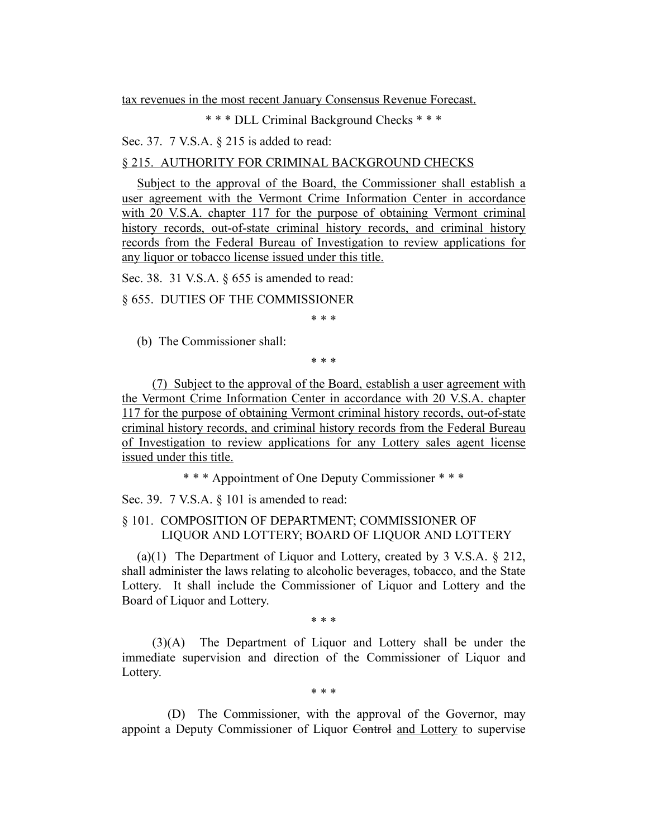tax revenues in the most recent January Consensus Revenue Forecast.

\* \* \* DLL Criminal Background Checks \* \* \*

Sec. 37. 7 V.S.A. § 215 is added to read:

# § 215. AUTHORITY FOR CRIMINAL BACKGROUND CHECKS

Subject to the approval of the Board, the Commissioner shall establish a user agreement with the Vermont Crime Information Center in accordance with 20 V.S.A. chapter 117 for the purpose of obtaining Vermont criminal history records, out-of-state criminal history records, and criminal history records from the Federal Bureau of Investigation to review applications for any liquor or tobacco license issued under this title.

Sec. 38. 31 V.S.A. § 655 is amended to read:

§ 655. DUTIES OF THE COMMISSIONER

\* \* \*

(b) The Commissioner shall:

\* \* \*

(7) Subject to the approval of the Board, establish a user agreement with the Vermont Crime Information Center in accordance with 20 V.S.A. chapter 117 for the purpose of obtaining Vermont criminal history records, out-of-state criminal history records, and criminal history records from the Federal Bureau of Investigation to review applications for any Lottery sales agent license issued under this title.

\* \* \* Appointment of One Deputy Commissioner \* \* \*

Sec. 39. 7 V.S.A. § 101 is amended to read:

# § 101. COMPOSITION OF DEPARTMENT; COMMISSIONER OF LIQUOR AND LOTTERY; BOARD OF LIQUOR AND LOTTERY

(a)(1) The Department of Liquor and Lottery, created by 3 V.S.A. § 212, shall administer the laws relating to alcoholic beverages, tobacco, and the State Lottery. It shall include the Commissioner of Liquor and Lottery and the Board of Liquor and Lottery.

\* \* \*

(3)(A) The Department of Liquor and Lottery shall be under the immediate supervision and direction of the Commissioner of Liquor and Lottery.

\* \* \*

(D) The Commissioner, with the approval of the Governor, may appoint a Deputy Commissioner of Liquor Control and Lottery to supervise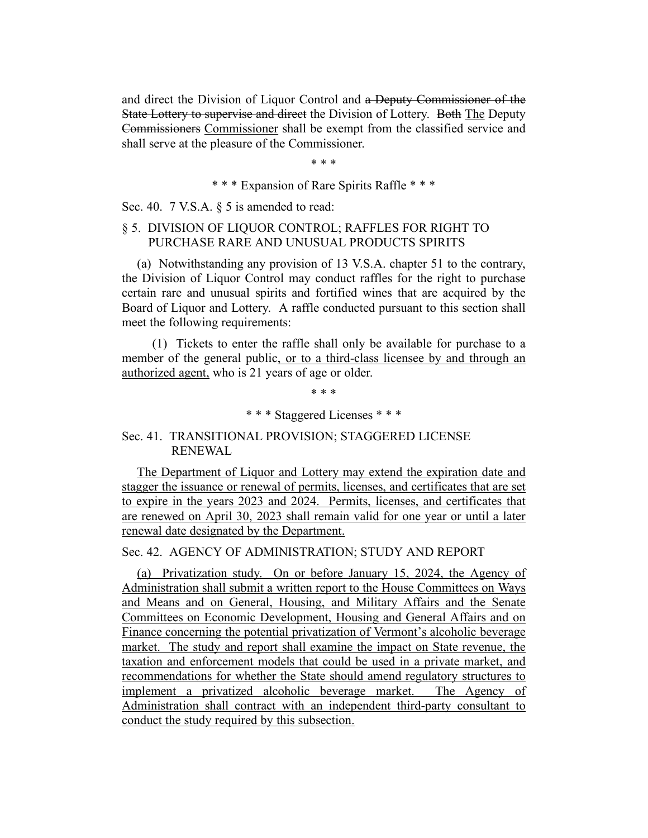and direct the Division of Liquor Control and a Deputy Commissioner of the State Lottery to supervise and direct the Division of Lottery. Both The Deputy Commissioners Commissioner shall be exempt from the classified service and shall serve at the pleasure of the Commissioner.

\* \* \*

\* \* \* Expansion of Rare Spirits Raffle \* \* \*

Sec. 40. 7 V.S.A. § 5 is amended to read:

# § 5. DIVISION OF LIQUOR CONTROL; RAFFLES FOR RIGHT TO PURCHASE RARE AND UNUSUAL PRODUCTS SPIRITS

(a) Notwithstanding any provision of 13 V.S.A. chapter 51 to the contrary, the Division of Liquor Control may conduct raffles for the right to purchase certain rare and unusual spirits and fortified wines that are acquired by the Board of Liquor and Lottery. A raffle conducted pursuant to this section shall meet the following requirements:

(1) Tickets to enter the raffle shall only be available for purchase to a member of the general public, or to a third-class licensee by and through an authorized agent, who is 21 years of age or older.

\* \* \*

\* \* \* Staggered Licenses \* \* \*

# Sec. 41. TRANSITIONAL PROVISION; STAGGERED LICENSE RENEWAL

The Department of Liquor and Lottery may extend the expiration date and stagger the issuance or renewal of permits, licenses, and certificates that are set to expire in the years 2023 and 2024. Permits, licenses, and certificates that are renewed on April 30, 2023 shall remain valid for one year or until a later renewal date designated by the Department.

Sec. 42. AGENCY OF ADMINISTRATION; STUDY AND REPORT

(a) Privatization study. On or before January 15, 2024, the Agency of Administration shall submit a written report to the House Committees on Ways and Means and on General, Housing, and Military Affairs and the Senate Committees on Economic Development, Housing and General Affairs and on Finance concerning the potential privatization of Vermont's alcoholic beverage market. The study and report shall examine the impact on State revenue, the taxation and enforcement models that could be used in a private market, and recommendations for whether the State should amend regulatory structures to implement a privatized alcoholic beverage market. The Agency of Administration shall contract with an independent third-party consultant to conduct the study required by this subsection.